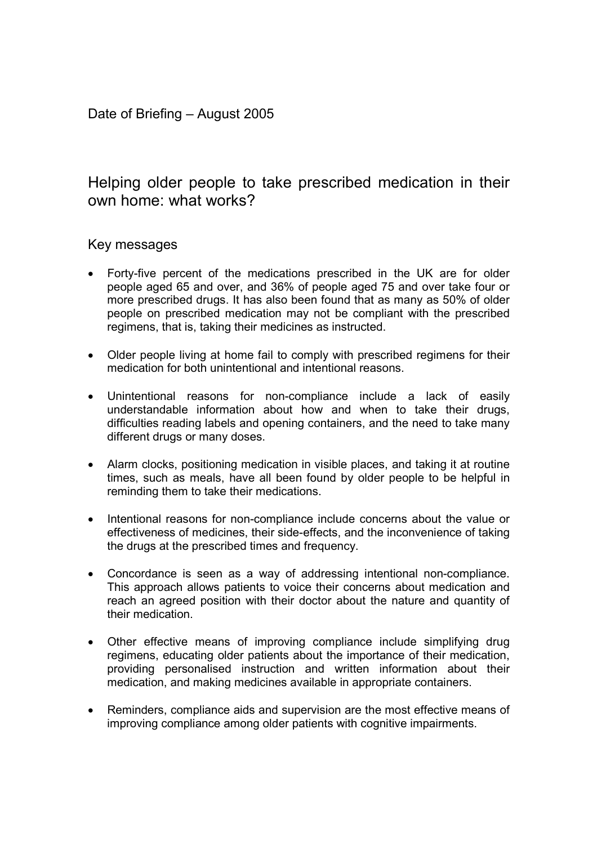# Helping older people to take prescribed medication in their own home: what works?

# Key messages

- Forty-five percent of the medications prescribed in the UK are for older people aged 65 and over, and 36% of people aged 75 and over take four or more prescribed drugs. It has also been found that as many as 50% of older people on prescribed medication may not be compliant with the prescribed regimens, that is, taking their medicines as instructed.
- Older people living at home fail to comply with prescribed regimens for their medication for both unintentional and intentional reasons.
- Unintentional reasons for non-compliance include a lack of easily understandable information about how and when to take their drugs, difficulties reading labels and opening containers, and the need to take many different drugs or many doses.
- Alarm clocks, positioning medication in visible places, and taking it at routine times, such as meals, have all been found by older people to be helpful in reminding them to take their medications.
- Intentional reasons for non-compliance include concerns about the value or effectiveness of medicines, their side-effects, and the inconvenience of taking the drugs at the prescribed times and frequency.
- Concordance is seen as a way of addressing intentional non-compliance. This approach allows patients to voice their concerns about medication and reach an agreed position with their doctor about the nature and quantity of their medication.
- Other effective means of improving compliance include simplifying drug regimens, educating older patients about the importance of their medication, providing personalised instruction and written information about their medication, and making medicines available in appropriate containers.
- Reminders, compliance aids and supervision are the most effective means of improving compliance among older patients with cognitive impairments.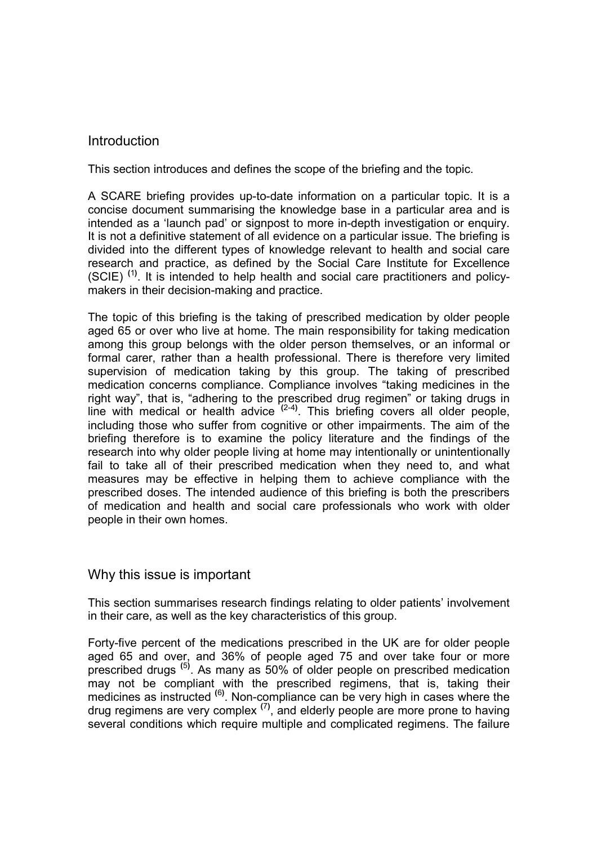### **Introduction**

This section introduces and defines the scope of the briefing and the topic.

A SCARE briefing provides up-to-date information on a particular topic. It is a concise document summarising the knowledge base in a particular area and is intended as a 'launch pad' or signpost to more in-depth investigation or enquiry. It is not a definitive statement of all evidence on a particular issue. The briefing is divided into the different types of knowledge relevant to health and social care research and practice, as defined by the Social Care Institute for Excellence  $(SCIE)$ <sup>(1)</sup>. It is intended to help health and social care practitioners and policymakers in their decision-making and practice.

The topic of this briefing is the taking of prescribed medication by older people aged 65 or over who live at home. The main responsibility for taking medication among this group belongs with the older person themselves, or an informal or formal carer, rather than a health professional. There is therefore very limited supervision of medication taking by this group. The taking of prescribed medication concerns compliance. Compliance involves "taking medicines in the right way", that is, "adhering to the prescribed drug regimen" or taking drugs in line with medical or health advice  $(2-4)$ . This briefing covers all older people, including those who suffer from cognitive or other impairments. The aim of the briefing therefore is to examine the policy literature and the findings of the research into why older people living at home may intentionally or unintentionally fail to take all of their prescribed medication when they need to, and what measures may be effective in helping them to achieve compliance with the prescribed doses. The intended audience of this briefing is both the prescribers of medication and health and social care professionals who work with older people in their own homes.

# Why this issue is important

This section summarises research findings relating to older patients' involvement in their care, as well as the key characteristics of this group.

Forty-five percent of the medications prescribed in the UK are for older people aged 65 and over, and 36% of people aged 75 and over take four or more prescribed drugs<sup>(5)</sup>. As many as 50% of older people on prescribed medication may not be compliant with the prescribed regimens, that is, taking their medicines as instructed <sup>(6)</sup>. Non-compliance can be very high in cases where the drug regimens are very complex  $(7)$ , and elderly people are more prone to having several conditions which require multiple and complicated regimens. The failure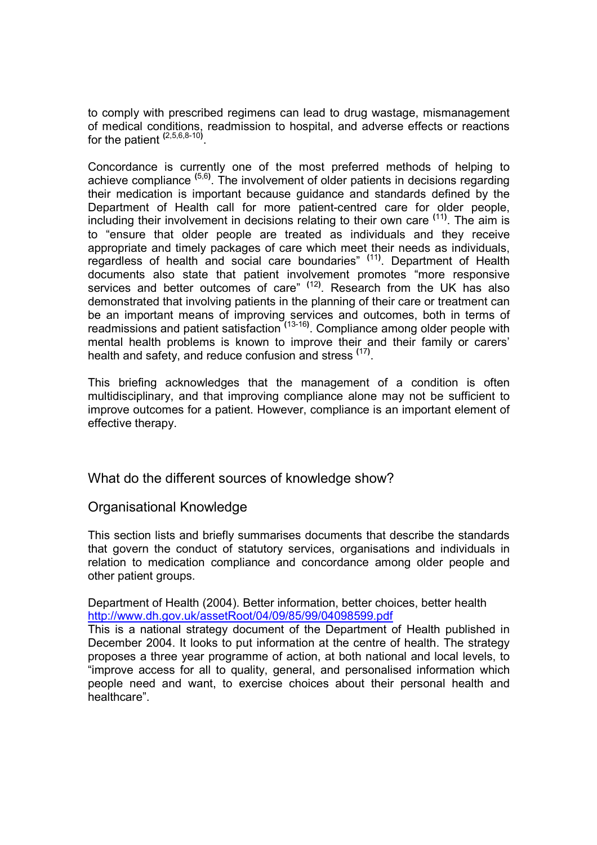to comply with prescribed regimens can lead to drug wastage, mismanagement of medical conditions, readmission to hospital, and adverse effects or reactions for the patient <sup>(2,5,6,8-10)</sup>.

Concordance is currently one of the most preferred methods of helping to achieve compliance <sup>(5,6)</sup>. The involvement of older patients in decisions regarding their medication is important because guidance and standards defined by the Department of Health call for more patient-centred care for older people, including their involvement in decisions relating to their own care <sup>(11)</sup>. The aim is to "ensure that older people are treated as individuals and they receive appropriate and timely packages of care which meet their needs as individuals, regardless of health and social care boundaries" <sup>(11)</sup>. Department of Health documents also state that patient involvement promotes "more responsive services and better outcomes of care" <sup>(12)</sup>. Research from the UK has also demonstrated that involving patients in the planning of their care or treatment can be an important means of improving services and outcomes, both in terms of readmissions and patient satisfaction <sup>(13-16)</sup>. Compliance among older people with mental health problems is known to improve their and their family or carers' health and safety, and reduce confusion and stress <sup>(17)</sup>.

This briefing acknowledges that the management of a condition is often multidisciplinary, and that improving compliance alone may not be sufficient to improve outcomes for a patient. However, compliance is an important element of effective therapy.

What do the different sources of knowledge show?

Organisational Knowledge

This section lists and briefly summarises documents that describe the standards that govern the conduct of statutory services, organisations and individuals in relation to medication compliance and concordance among older people and other patient groups.

Department of Health (2004). Better information, better choices, better health http://www.dh.gov.uk/assetRoot/04/09/85/99/04098599.pdf

This is a national strategy document of the Department of Health published in December 2004. It looks to put information at the centre of health. The strategy proposes a three year programme of action, at both national and local levels, to "improve access for all to quality, general, and personalised information which people need and want, to exercise choices about their personal health and healthcare".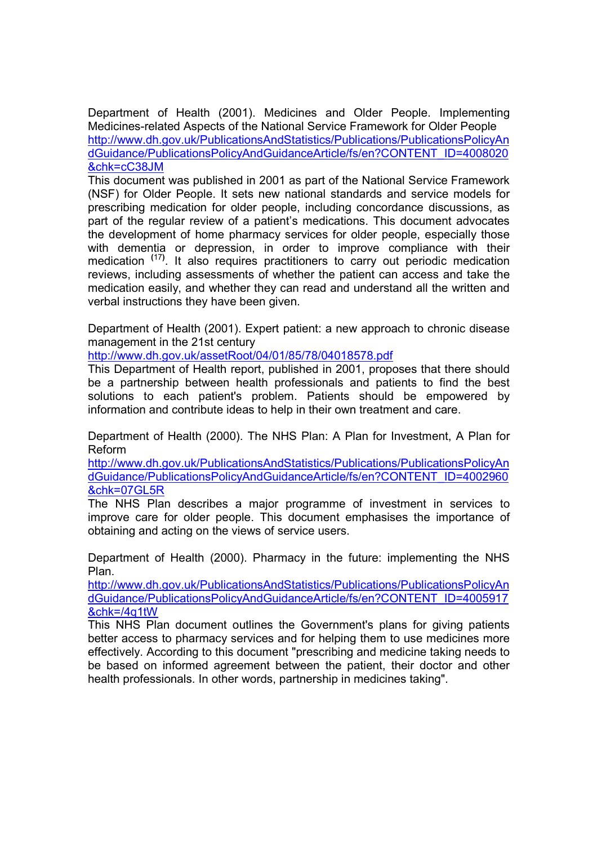Department of Health (2001). Medicines and Older People. Implementing Medicines-related Aspects of the National Service Framework for Older People http://www.dh.gov.uk/PublicationsAndStatistics/Publications/PublicationsPolicyAn dGuidance/PublicationsPolicyAndGuidanceArticle/fs/en?CONTENT\_ID=4008020 &chk=cC38JM

This document was published in 2001 as part of the National Service Framework (NSF) for Older People. It sets new national standards and service models for prescribing medication for older people, including concordance discussions, as part of the regular review of a patient's medications. This document advocates the development of home pharmacy services for older people, especially those with dementia or depression, in order to improve compliance with their medication <sup>(17)</sup>. It also requires practitioners to carry out periodic medication reviews, including assessments of whether the patient can access and take the medication easily, and whether they can read and understand all the written and verbal instructions they have been given.

Department of Health (2001). Expert patient: a new approach to chronic disease management in the 21st century

http://www.dh.gov.uk/assetRoot/04/01/85/78/04018578.pdf

This Department of Health report, published in 2001, proposes that there should be a partnership between health professionals and patients to find the best solutions to each patient's problem. Patients should be empowered by information and contribute ideas to help in their own treatment and care.

Department of Health (2000). The NHS Plan: A Plan for Investment, A Plan for Reform

http://www.dh.gov.uk/PublicationsAndStatistics/Publications/PublicationsPolicyAn dGuidance/PublicationsPolicyAndGuidanceArticle/fs/en?CONTENT\_ID=4002960 &chk=07GL5R

The NHS Plan describes a major programme of investment in services to improve care for older people. This document emphasises the importance of obtaining and acting on the views of service users.

Department of Health (2000). Pharmacy in the future: implementing the NHS Plan.

http://www.dh.gov.uk/PublicationsAndStatistics/Publications/PublicationsPolicyAn dGuidance/PublicationsPolicyAndGuidanceArticle/fs/en?CONTENT\_ID=4005917 &chk=/4q1tW

This NHS Plan document outlines the Government's plans for giving patients better access to pharmacy services and for helping them to use medicines more effectively. According to this document "prescribing and medicine taking needs to be based on informed agreement between the patient, their doctor and other health professionals. In other words, partnership in medicines taking".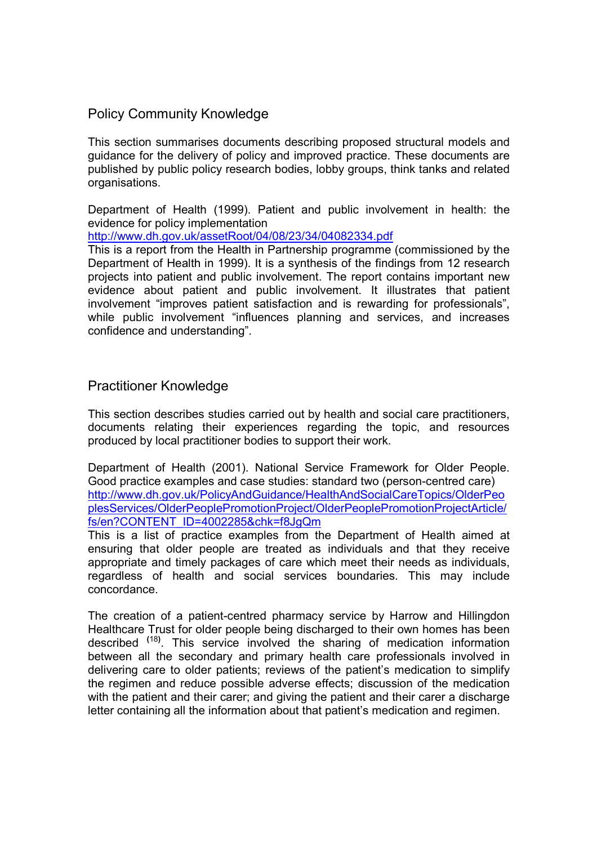# Policy Community Knowledge

This section summarises documents describing proposed structural models and guidance for the delivery of policy and improved practice. These documents are published by public policy research bodies, lobby groups, think tanks and related organisations.

Department of Health (1999). Patient and public involvement in health: the evidence for policy implementation

http://www.dh.gov.uk/assetRoot/04/08/23/34/04082334.pdf

This is a report from the Health in Partnership programme (commissioned by the Department of Health in 1999). It is a synthesis of the findings from 12 research projects into patient and public involvement. The report contains important new evidence about patient and public involvement. It illustrates that patient involvement "improves patient satisfaction and is rewarding for professionals", while public involvement "influences planning and services, and increases confidence and understanding".

# Practitioner Knowledge

This section describes studies carried out by health and social care practitioners, documents relating their experiences regarding the topic, and resources produced by local practitioner bodies to support their work.

Department of Health (2001). National Service Framework for Older People. Good practice examples and case studies: standard two (person-centred care) http://www.dh.gov.uk/PolicyAndGuidance/HealthAndSocialCareTopics/OlderPeo plesServices/OlderPeoplePromotionProject/OlderPeoplePromotionProjectArticle/ fs/en?CONTENT\_ID=4002285&chk=f8JgQm

This is a list of practice examples from the Department of Health aimed at ensuring that older people are treated as individuals and that they receive appropriate and timely packages of care which meet their needs as individuals, regardless of health and social services boundaries. This may include concordance.

The creation of a patient-centred pharmacy service by Harrow and Hillingdon Healthcare Trust for older people being discharged to their own homes has been described <sup>(18)</sup>. This service involved the sharing of medication information between all the secondary and primary health care professionals involved in delivering care to older patients; reviews of the patient's medication to simplify the regimen and reduce possible adverse effects; discussion of the medication with the patient and their carer; and giving the patient and their carer a discharge letter containing all the information about that patient's medication and regimen.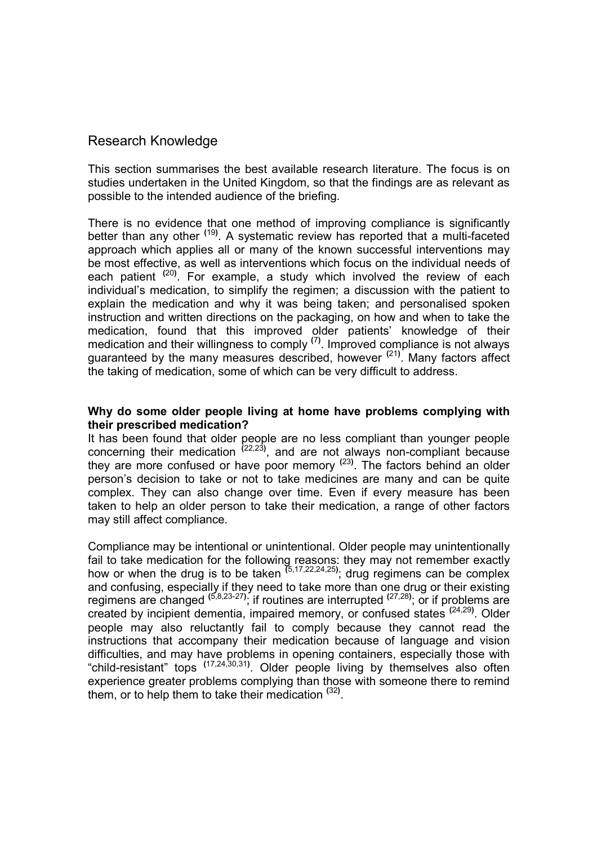### Research Knowledge

This section summarises the best available research literature. The focus is on studies undertaken in the United Kingdom, so that the findings are as relevant as possible to the intended audience of the briefing.

There is no evidence that one method of improving compliance is significantly better than any other <sup>(19)</sup>. A systematic review has reported that a multi-faceted approach which applies all or many of the known successful interventions may be most effective, as well as interventions which focus on the individual needs of each patient <sup>(20)</sup>. For example, a study which involved the review of each individual's medication, to simplify the regimen; a discussion with the patient to explain the medication and why it was being taken; and personalised spoken instruction and written directions on the packaging, on how and when to take the medication, found that this improved older patients' knowledge of their medication and their willingness to comply  $(7)$ . Improved compliance is not always guaranteed by the many measures described, however <sup>(21)</sup>. Many factors affect the taking of medication, some of which can be very difficult to address.

#### Why do some older people living at home have problems complying with their prescribed medication?

It has been found that older people are no less compliant than younger people concerning their medication  $(22,23)$ , and are not always non-compliant because they are more confused or have poor memory <sup>(23)</sup>. The factors behind an older person's decision to take or not to take medicines are many and can be quite complex. They can also change over time. Even if every measure has been taken to help an older person to take their medication, a range of other factors may still affect compliance.

Compliance may be intentional or unintentional. Older people may unintentionally fail to take medication for the following reasons: they may not remember exactly how or when the drug is to be taken  $(5,17,22,24,25)$ ; drug regimens can be complex and confusing, especially if they need to take more than one drug or their existing regimens are changed  $(5,8,23-27)$ ; if routines are interrupted  $(27,28)$ ; or if problems are created by incipient dementia, impaired memory, or confused states <sup>(24,29)</sup>. Older people may also reluctantly fail to comply because they cannot read the instructions that accompany their medication because of language and vision difficulties, and may have problems in opening containers, especially those with "child-resistant" tops <sup>(17,24,30,31)</sup>. Older people living by themselves also often experience greater problems complying than those with someone there to remind them, or to help them to take their medication <sup>(32)</sup>.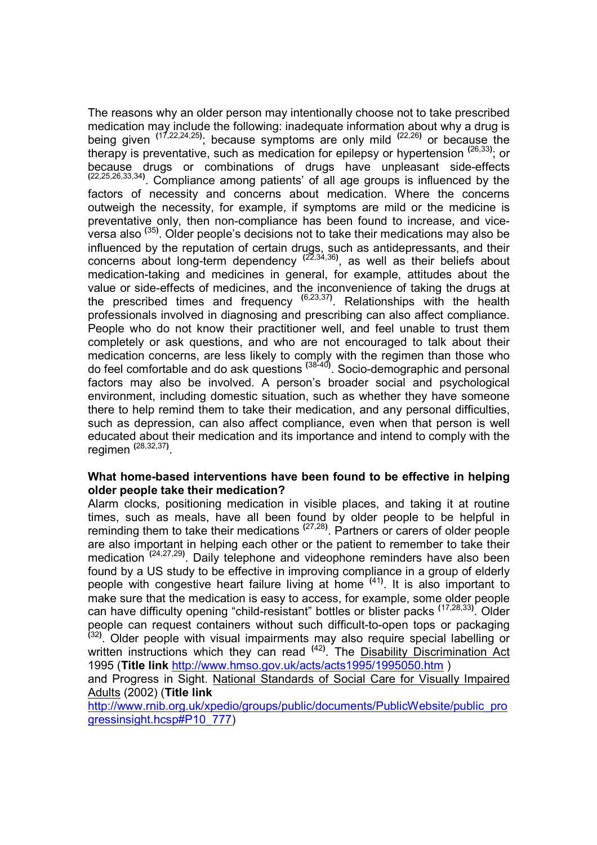The reasons why an older person may intentionally choose not to take prescribed medication may include the following: inadequate information about why a drug is being given  $(17,22,24,25)$ ; because symptoms are only mild  $(22,26)$  or because the therapy is preventative, such as medication for epilepsy or hypertension <sup>(26,33)</sup>; or because drugs or combinations of drugs have unpleasant side-effects  $(22.25, 26, 33, 34)$ . Compliance among patients' of all age groups is influenced by the factors of necessity and concerns about medication. Where the concerns outweigh the necessity, for example, if symptoms are mild or the medicine is preventative only, then non-compliance has been found to increase, and viceversa also <sup>(35)</sup>. Older people's decisions not to take their medications may also be influenced by the reputation of certain drugs, such as antidepressants, and their concerns about long-term dependency  $(22,34,36)$ , as well as their beliefs about medication-taking and medicines in general, for example, attitudes about the value or side-effects of medicines, and the inconvenience of taking the drugs at the prescribed times and frequency  $(6,23,37)$ . Relationships with the health professionals involved in diagnosing and prescribing can also affect compliance. People who do not know their practitioner well, and feel unable to trust them completely or ask questions, and who are not encouraged to talk about their medication concerns, are less likely to comply with the regimen than those who do feel comfortable and do ask questions <sup>(38-40)</sup>. Socio-demographic and personal factors may also be involved. A person's broader social and psychological environment, including domestic situation, such as whether they have someone there to help remind them to take their medication, and any personal difficulties, such as depression, can also affect compliance, even when that person is well educated about their medication and its importance and intend to comply with the regimen <sup>(28,32,37)</sup>.

#### What home-based interventions have been found to be effective in helping older people take their medication?

Alarm clocks, positioning medication in visible places, and taking it at routine times, such as meals, have all been found by older people to be helpful in reminding them to take their medications  $(27,28)$ . Partners or carers of older people are also important in helping each other or the patient to remember to take their medication <sup>(24,27,29)</sup>. Daily telephone and videophone reminders have also been found by a US study to be effective in improving compliance in a group of elderly people with congestive heart failure living at home <sup>(41)</sup>. It is also important to make sure that the medication is easy to access, for example, some older people can have difficulty opening "child-resistant" bottles or blister packs <sup>(17,28,33)</sup>. Older people can request containers without such difficult-to-open tops or packaging<br><sup>(32)</sup>. Older people with visual impairments may also require special labelling or written instructions which they can read <sup>(42)</sup>. The Disability Discrimination Act 1995 (Title link http://www.hmso.gov.uk/acts/acts1995/1995050.htm )

and Progress in Sight. National Standards of Social Care for Visually Impaired Adults (2002) (Title link

http://www.rnib.org.uk/xpedio/groups/public/documents/PublicWebsite/public\_pro gressinsight.hcsp#P10\_777)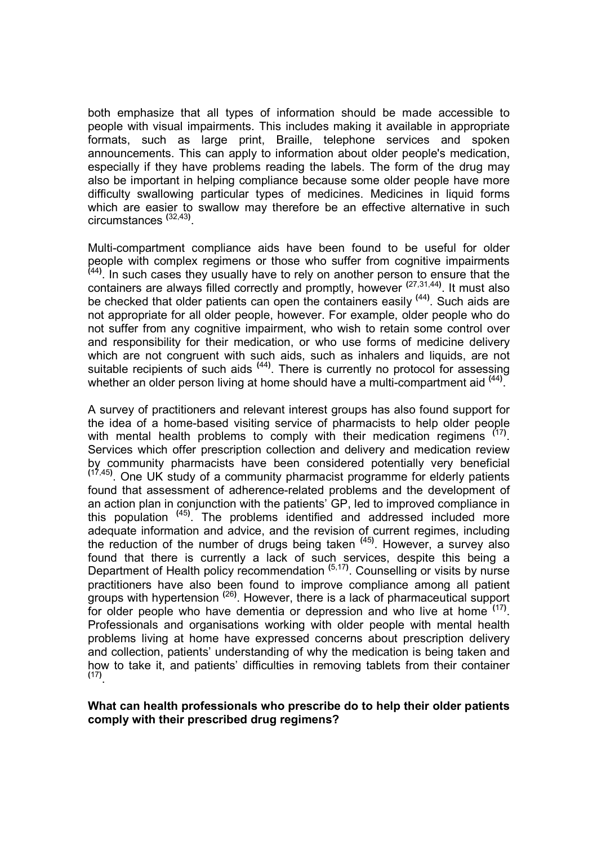both emphasize that all types of information should be made accessible to people with visual impairments. This includes making it available in appropriate formats, such as large print, Braille, telephone services and spoken announcements. This can apply to information about older people's medication, especially if they have problems reading the labels. The form of the drug may also be important in helping compliance because some older people have more difficulty swallowing particular types of medicines. Medicines in liquid forms which are easier to swallow may therefore be an effective alternative in such circumstances <sup>(32,43)</sup>.

Multi-compartment compliance aids have been found to be useful for older people with complex regimens or those who suffer from cognitive impairments (44). In such cases they usually have to rely on another person to ensure that the containers are always filled correctly and promptly, however <sup>(27,31,44)</sup>. It must also be checked that older patients can open the containers easily <sup>(44)</sup>. Such aids are not appropriate for all older people, however. For example, older people who do not suffer from any cognitive impairment, who wish to retain some control over and responsibility for their medication, or who use forms of medicine delivery which are not congruent with such aids, such as inhalers and liquids, are not suitable recipients of such aids <sup>(44)</sup>. There is currently no protocol for assessing whether an older person living at home should have a multi-compartment aid <sup>(44)</sup>.

A survey of practitioners and relevant interest groups has also found support for the idea of a home-based visiting service of pharmacists to help older people with mental health problems to comply with their medication regimens  $(17)$ . Services which offer prescription collection and delivery and medication review by community pharmacists have been considered potentially very beneficial  $(17,45)$ . One UK study of a community pharmacist programme for elderly patients found that assessment of adherence-related problems and the development of an action plan in conjunction with the patients' GP, led to improved compliance in this population <sup>(45)</sup>. The problems identified and addressed included more adequate information and advice, and the revision of current regimes, including the reduction of the number of drugs being taken <sup>(45)</sup>. However, a survey also found that there is currently a lack of such services, despite this being a Department of Health policy recommendation <sup>(5,17)</sup>. Counselling or visits by nurse practitioners have also been found to improve compliance among all patient groups with hypertension <sup>(26)</sup>. However, there is a lack of pharmaceutical support for older people who have dementia or depression and who live at home <sup>(17)</sup>. Professionals and organisations working with older people with mental health problems living at home have expressed concerns about prescription delivery and collection, patients' understanding of why the medication is being taken and how to take it, and patients' difficulties in removing tablets from their container (17) .

#### What can health professionals who prescribe do to help their older patients comply with their prescribed drug regimens?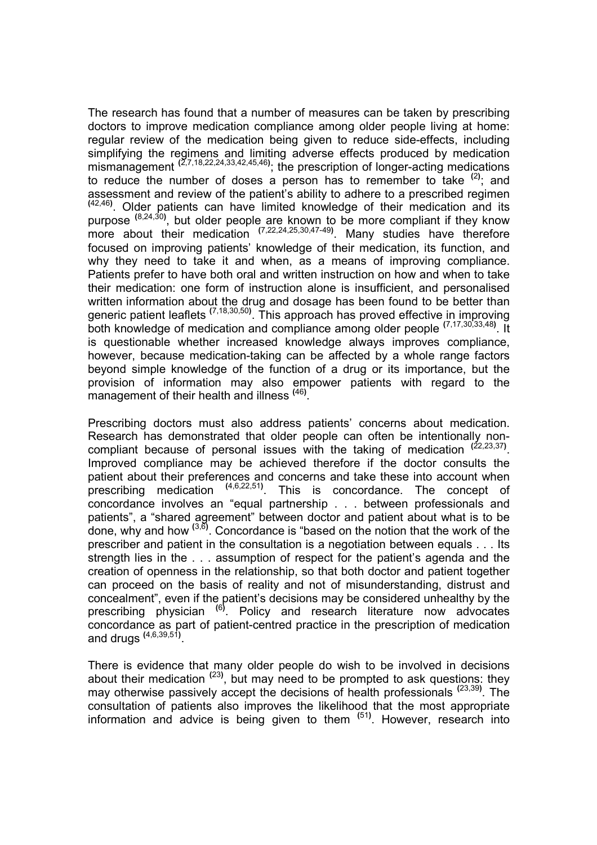The research has found that a number of measures can be taken by prescribing doctors to improve medication compliance among older people living at home: regular review of the medication being given to reduce side-effects, including simplifying the regimens and limiting adverse effects produced by medication mismanagement  $(2,7,18,22,24,33,42,45,46)$ ; the prescription of longer-acting medications to reduce the number of doses a person has to remember to take  $(2)$ ; and assessment and review of the patient's ability to adhere to a prescribed regimen  $(42,46)$ . Older patients can have limited knowledge of their medication and its purpose <sup>(8,24,30)</sup>, but older people are known to be more compliant if they know more about their medication  $(7.22.24.25.30.47-49)$ . Many studies have therefore focused on improving patients' knowledge of their medication, its function, and why they need to take it and when, as a means of improving compliance. Patients prefer to have both oral and written instruction on how and when to take their medication: one form of instruction alone is insufficient, and personalised written information about the drug and dosage has been found to be better than generic patient leaflets <sup>(7,18,30,50)</sup>. This approach has proved effective in improving both knowledge of medication and compliance among older people <sup>(7,17,30,33,48)</sup>. It is questionable whether increased knowledge always improves compliance, however, because medication-taking can be affected by a whole range factors beyond simple knowledge of the function of a drug or its importance, but the provision of information may also empower patients with regard to the management of their health and illness (46).

Prescribing doctors must also address patients' concerns about medication. Research has demonstrated that older people can often be intentionally noncompliant because of personal issues with the taking of medication  $(22,23,37)$ . Improved compliance may be achieved therefore if the doctor consults the patient about their preferences and concerns and take these into account when prescribing medication (4,6,22,51). This is concordance. The concept of concordance involves an "equal partnership . . . between professionals and patients", a "shared agreement" between doctor and patient about what is to be done, why and how  $^{(3,6)}$ . Concordance is "based on the notion that the work of the prescriber and patient in the consultation is a negotiation between equals . . . Its strength lies in the . . . assumption of respect for the patient's agenda and the creation of openness in the relationship, so that both doctor and patient together can proceed on the basis of reality and not of misunderstanding, distrust and concealment", even if the patient's decisions may be considered unhealthy by the prescribing physician <sup>(6)</sup>. Policy and research literature now advocates concordance as part of patient-centred practice in the prescription of medication and drugs  $(4,6,39,51)$ .

There is evidence that many older people do wish to be involved in decisions about their medication  $(23)$ , but may need to be prompted to ask questions: they may otherwise passively accept the decisions of health professionals <sup>(23,39)</sup>. The consultation of patients also improves the likelihood that the most appropriate information and advice is being given to them <sup>(51)</sup>. However, research into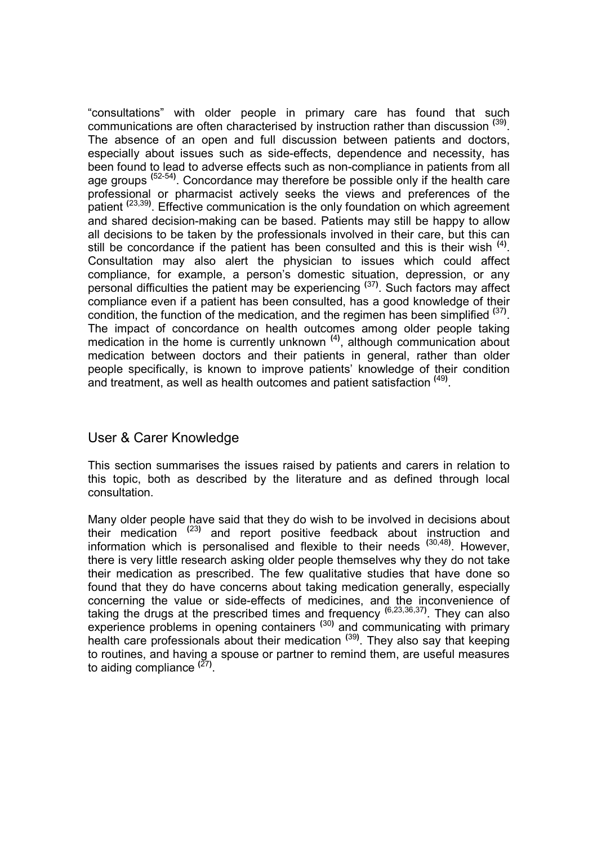"consultations" with older people in primary care has found that such communications are often characterised by instruction rather than discussion <sup>(39)</sup>. The absence of an open and full discussion between patients and doctors, especially about issues such as side-effects, dependence and necessity, has been found to lead to adverse effects such as non-compliance in patients from all age groups <sup>(52-54)</sup>. Concordance may therefore be possible only if the health care professional or pharmacist actively seeks the views and preferences of the patient <sup>(23,39)</sup>. Effective communication is the only foundation on which agreement and shared decision-making can be based. Patients may still be happy to allow all decisions to be taken by the professionals involved in their care, but this can still be concordance if the patient has been consulted and this is their wish  $<sup>(4)</sup>$ .</sup> Consultation may also alert the physician to issues which could affect compliance, for example, a person's domestic situation, depression, or any personal difficulties the patient may be experiencing <sup>(37)</sup>. Such factors may affect compliance even if a patient has been consulted, has a good knowledge of their condition, the function of the medication, and the regimen has been simplified  $(37)$ . The impact of concordance on health outcomes among older people taking medication in the home is currently unknown<sup>(4)</sup>, although communication about medication between doctors and their patients in general, rather than older people specifically, is known to improve patients' knowledge of their condition and treatment, as well as health outcomes and patient satisfaction <sup>(49)</sup>.

# User & Carer Knowledge

This section summarises the issues raised by patients and carers in relation to this topic, both as described by the literature and as defined through local consultation.

Many older people have said that they do wish to be involved in decisions about their medication (23) and report positive feedback about instruction and information which is personalised and flexible to their needs <sup>(30,48)</sup>. However, there is very little research asking older people themselves why they do not take their medication as prescribed. The few qualitative studies that have done so found that they do have concerns about taking medication generally, especially concerning the value or side-effects of medicines, and the inconvenience of taking the drugs at the prescribed times and frequency  $(6,23,36,37)$ . They can also experience problems in opening containers<sup>(30)</sup> and communicating with primary health care professionals about their medication <sup>(39)</sup>. They also say that keeping to routines, and having a spouse or partner to remind them, are useful measures to aiding compliance <sup>(27)</sup>.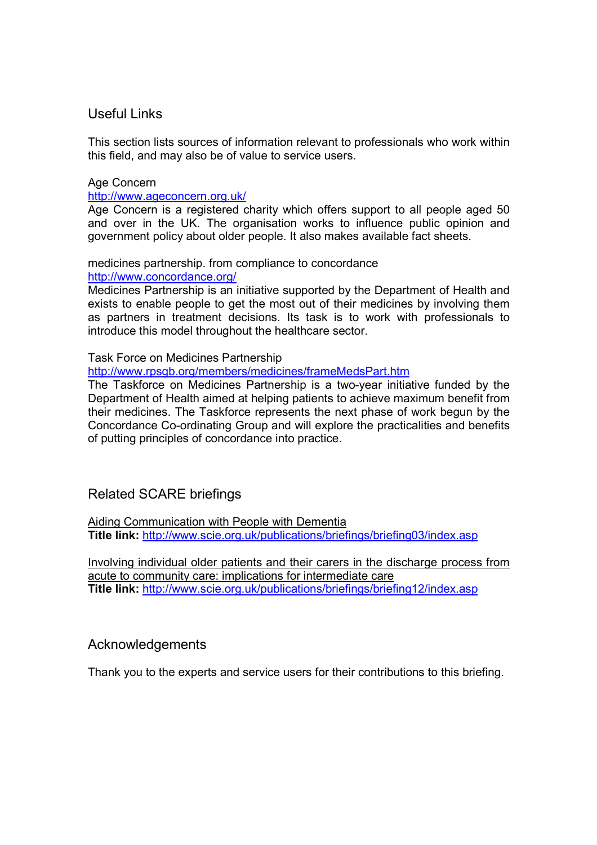# Useful Links

This section lists sources of information relevant to professionals who work within this field, and may also be of value to service users.

#### Age Concern

http://www.ageconcern.org.uk/

Age Concern is a registered charity which offers support to all people aged 50 and over in the UK. The organisation works to influence public opinion and government policy about older people. It also makes available fact sheets.

#### medicines partnership. from compliance to concordance

http://www.concordance.org/

Medicines Partnership is an initiative supported by the Department of Health and exists to enable people to get the most out of their medicines by involving them as partners in treatment decisions. Its task is to work with professionals to introduce this model throughout the healthcare sector.

#### Task Force on Medicines Partnership

http://www.rpsgb.org/members/medicines/frameMedsPart.htm

The Taskforce on Medicines Partnership is a two-year initiative funded by the Department of Health aimed at helping patients to achieve maximum benefit from their medicines. The Taskforce represents the next phase of work begun by the Concordance Co-ordinating Group and will explore the practicalities and benefits of putting principles of concordance into practice.

# Related SCARE briefings

Aiding Communication with People with Dementia Title link: http://www.scie.org.uk/publications/briefings/briefing03/index.asp

Involving individual older patients and their carers in the discharge process from acute to community care: implications for intermediate care Title link: http://www.scie.org.uk/publications/briefings/briefing12/index.asp

# Acknowledgements

Thank you to the experts and service users for their contributions to this briefing.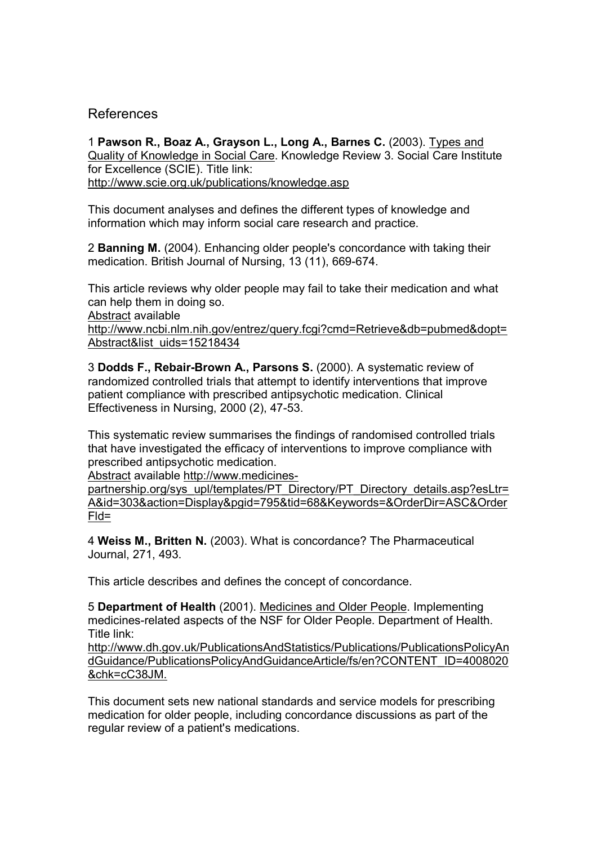### References

1 Pawson R., Boaz A., Grayson L., Long A., Barnes C. (2003). Types and Quality of Knowledge in Social Care. Knowledge Review 3. Social Care Institute for Excellence (SCIE). Title link: http://www.scie.org.uk/publications/knowledge.asp

This document analyses and defines the different types of knowledge and information which may inform social care research and practice.

2 Banning M. (2004). Enhancing older people's concordance with taking their medication. British Journal of Nursing, 13 (11), 669-674.

This article reviews why older people may fail to take their medication and what can help them in doing so.

Abstract available

http://www.ncbi.nlm.nih.gov/entrez/query.fcgi?cmd=Retrieve&db=pubmed&dopt= Abstract&list\_uids=15218434

3 Dodds F., Rebair-Brown A., Parsons S. (2000). A systematic review of randomized controlled trials that attempt to identify interventions that improve patient compliance with prescribed antipsychotic medication. Clinical Effectiveness in Nursing, 2000 (2), 47-53.

This systematic review summarises the findings of randomised controlled trials that have investigated the efficacy of interventions to improve compliance with prescribed antipsychotic medication.

Abstract available http://www.medicines-

partnership.org/sys\_upl/templates/PT\_Directory/PT\_Directory\_details.asp?esLtr= A&id=303&action=Display&pgid=795&tid=68&Keywords=&OrderDir=ASC&Order Fld=

4 Weiss M., Britten N. (2003). What is concordance? The Pharmaceutical Journal, 271, 493.

This article describes and defines the concept of concordance.

5 Department of Health (2001). Medicines and Older People. Implementing medicines-related aspects of the NSF for Older People. Department of Health. Title link:

http://www.dh.gov.uk/PublicationsAndStatistics/Publications/PublicationsPolicyAn dGuidance/PublicationsPolicyAndGuidanceArticle/fs/en?CONTENT\_ID=4008020 &chk=cC38JM.

This document sets new national standards and service models for prescribing medication for older people, including concordance discussions as part of the regular review of a patient's medications.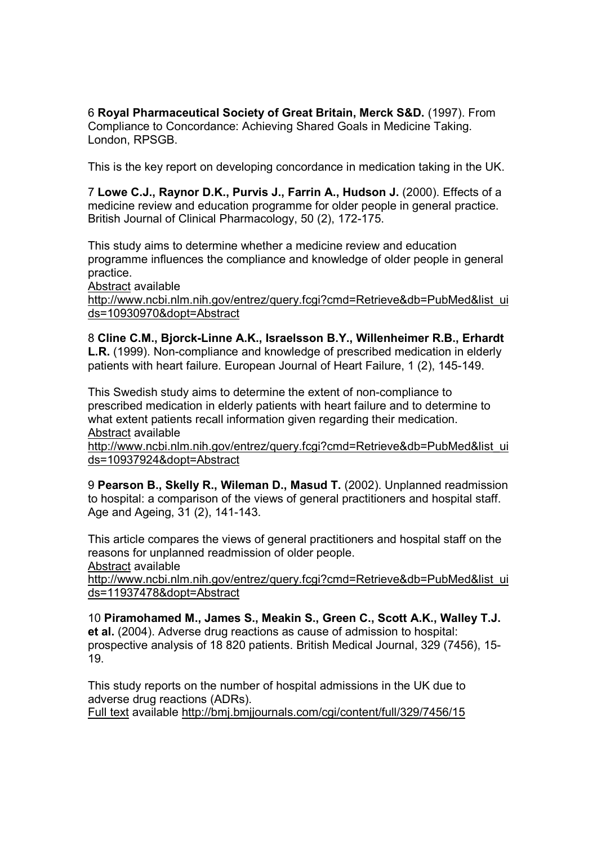6 Royal Pharmaceutical Society of Great Britain, Merck S&D. (1997). From Compliance to Concordance: Achieving Shared Goals in Medicine Taking. London, RPSGB.

This is the key report on developing concordance in medication taking in the UK.

7 Lowe C.J., Raynor D.K., Purvis J., Farrin A., Hudson J. (2000). Effects of a medicine review and education programme for older people in general practice. British Journal of Clinical Pharmacology, 50 (2), 172-175.

This study aims to determine whether a medicine review and education programme influences the compliance and knowledge of older people in general practice.

Abstract available

http://www.ncbi.nlm.nih.gov/entrez/query.fcgi?cmd=Retrieve&db=PubMed&list\_ui ds=10930970&dopt=Abstract

8 Cline C.M., Bjorck-Linne A.K., Israelsson B.Y., Willenheimer R.B., Erhardt L.R. (1999). Non-compliance and knowledge of prescribed medication in elderly patients with heart failure. European Journal of Heart Failure, 1 (2), 145-149.

This Swedish study aims to determine the extent of non-compliance to prescribed medication in elderly patients with heart failure and to determine to what extent patients recall information given regarding their medication. Abstract available

http://www.ncbi.nlm.nih.gov/entrez/query.fcgi?cmd=Retrieve&db=PubMed&list\_ui ds=10937924&dopt=Abstract

9 Pearson B., Skelly R., Wileman D., Masud T. (2002). Unplanned readmission to hospital: a comparison of the views of general practitioners and hospital staff. Age and Ageing, 31 (2), 141-143.

This article compares the views of general practitioners and hospital staff on the reasons for unplanned readmission of older people. Abstract available

http://www.ncbi.nlm.nih.gov/entrez/query.fcgi?cmd=Retrieve&db=PubMed&list\_ui ds=11937478&dopt=Abstract

10 Piramohamed M., James S., Meakin S., Green C., Scott A.K., Walley T.J. et al. (2004). Adverse drug reactions as cause of admission to hospital: prospective analysis of 18 820 patients. British Medical Journal, 329 (7456), 15- 19.

This study reports on the number of hospital admissions in the UK due to adverse drug reactions (ADRs). Full text available http://bmj.bmjjournals.com/cgi/content/full/329/7456/15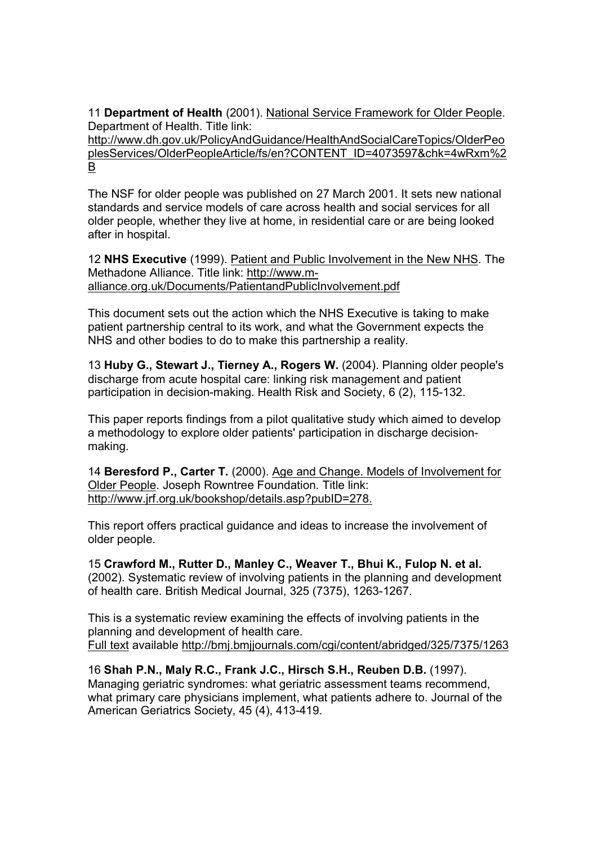11 Department of Health (2001). National Service Framework for Older People. Department of Health. Title link:

http://www.dh.gov.uk/PolicyAndGuidance/HealthAndSocialCareTopics/OlderPeo plesServices/OlderPeopleArticle/fs/en?CONTENT\_ID=4073597&chk=4wRxm%2 B

The NSF for older people was published on 27 March 2001. It sets new national standards and service models of care across health and social services for all older people, whether they live at home, in residential care or are being looked after in hospital.

12 NHS Executive (1999). Patient and Public Involvement in the New NHS. The Methadone Alliance. Title link: http://www.malliance.org.uk/Documents/PatientandPublicInvolvement.pdf

This document sets out the action which the NHS Executive is taking to make patient partnership central to its work, and what the Government expects the NHS and other bodies to do to make this partnership a reality.

13 Huby G., Stewart J., Tierney A., Rogers W. (2004). Planning older people's discharge from acute hospital care: linking risk management and patient participation in decision-making. Health Risk and Society, 6 (2), 115-132.

This paper reports findings from a pilot qualitative study which aimed to develop a methodology to explore older patients' participation in discharge decisionmaking.

14 Beresford P., Carter T. (2000). Age and Change. Models of Involvement for Older People. Joseph Rowntree Foundation. Title link: http://www.jrf.org.uk/bookshop/details.asp?pubID=278.

This report offers practical guidance and ideas to increase the involvement of older people.

15 Crawford M., Rutter D., Manley C., Weaver T., Bhui K., Fulop N. et al. (2002). Systematic review of involving patients in the planning and development of health care. British Medical Journal, 325 (7375), 1263-1267.

This is a systematic review examining the effects of involving patients in the planning and development of health care. Full text available http://bmj.bmjjournals.com/cgi/content/abridged/325/7375/1263

16 Shah P.N., Maly R.C., Frank J.C., Hirsch S.H., Reuben D.B. (1997). Managing geriatric syndromes: what geriatric assessment teams recommend, what primary care physicians implement, what patients adhere to. Journal of the American Geriatrics Society, 45 (4), 413-419.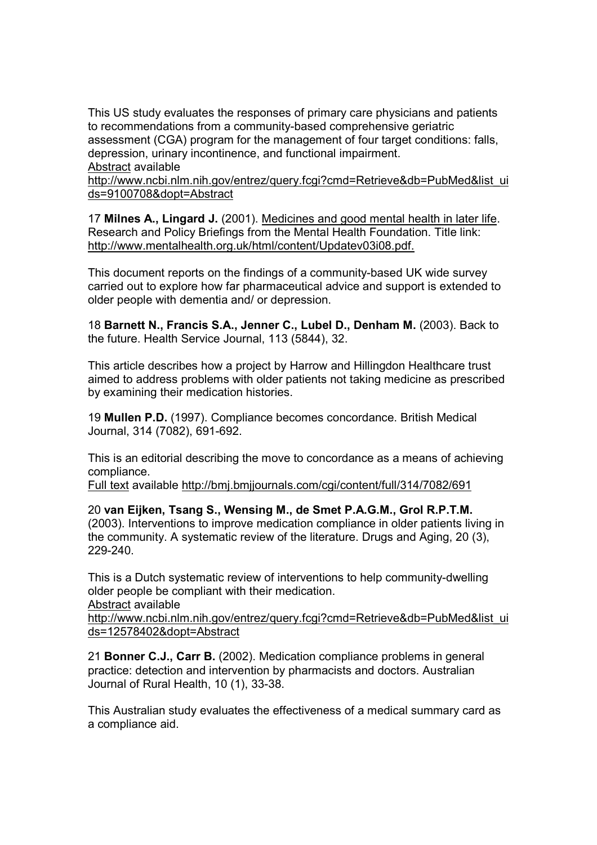This US study evaluates the responses of primary care physicians and patients to recommendations from a community-based comprehensive geriatric assessment (CGA) program for the management of four target conditions: falls, depression, urinary incontinence, and functional impairment. Abstract available

http://www.ncbi.nlm.nih.gov/entrez/query.fcgi?cmd=Retrieve&db=PubMed&list\_ui ds=9100708&dopt=Abstract

17 Milnes A., Lingard J. (2001). Medicines and good mental health in later life. Research and Policy Briefings from the Mental Health Foundation. Title link: http://www.mentalhealth.org.uk/html/content/Updatev03i08.pdf.

This document reports on the findings of a community-based UK wide survey carried out to explore how far pharmaceutical advice and support is extended to older people with dementia and/ or depression.

18 Barnett N., Francis S.A., Jenner C., Lubel D., Denham M. (2003). Back to the future. Health Service Journal, 113 (5844), 32.

This article describes how a project by Harrow and Hillingdon Healthcare trust aimed to address problems with older patients not taking medicine as prescribed by examining their medication histories.

19 Mullen P.D. (1997). Compliance becomes concordance. British Medical Journal, 314 (7082), 691-692.

This is an editorial describing the move to concordance as a means of achieving compliance.

Full text available http://bmj.bmjjournals.com/cgi/content/full/314/7082/691

20 van Eijken, Tsang S., Wensing M., de Smet P.A.G.M., Grol R.P.T.M. (2003). Interventions to improve medication compliance in older patients living in the community. A systematic review of the literature. Drugs and Aging, 20 (3), 229-240.

This is a Dutch systematic review of interventions to help community-dwelling older people be compliant with their medication.

Abstract available

http://www.ncbi.nlm.nih.gov/entrez/query.fcgi?cmd=Retrieve&db=PubMed&list\_ui ds=12578402&dopt=Abstract

21 Bonner C.J., Carr B. (2002). Medication compliance problems in general practice: detection and intervention by pharmacists and doctors. Australian Journal of Rural Health, 10 (1), 33-38.

This Australian study evaluates the effectiveness of a medical summary card as a compliance aid.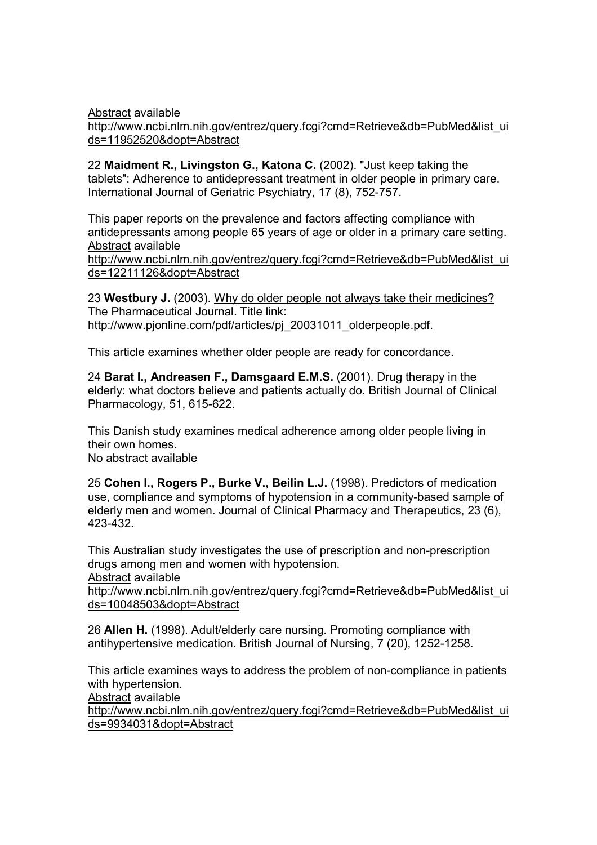Abstract available http://www.ncbi.nlm.nih.gov/entrez/query.fcgi?cmd=Retrieve&db=PubMed&list\_ui ds=11952520&dopt=Abstract

22 Maidment R., Livingston G., Katona C. (2002). "Just keep taking the tablets": Adherence to antidepressant treatment in older people in primary care. International Journal of Geriatric Psychiatry, 17 (8), 752-757.

This paper reports on the prevalence and factors affecting compliance with antidepressants among people 65 years of age or older in a primary care setting. Abstract available

http://www.ncbi.nlm.nih.gov/entrez/query.fcgi?cmd=Retrieve&db=PubMed&list\_ui ds=12211126&dopt=Abstract

23 Westbury J. (2003). Why do older people not always take their medicines? The Pharmaceutical Journal. Title link: http://www.pjonline.com/pdf/articles/pj\_20031011\_olderpeople.pdf.

This article examines whether older people are ready for concordance.

24 Barat I., Andreasen F., Damsgaard E.M.S. (2001). Drug therapy in the elderly: what doctors believe and patients actually do. British Journal of Clinical Pharmacology, 51, 615-622.

This Danish study examines medical adherence among older people living in their own homes. No abstract available

25 Cohen I., Rogers P., Burke V., Beilin L.J. (1998). Predictors of medication use, compliance and symptoms of hypotension in a community-based sample of elderly men and women. Journal of Clinical Pharmacy and Therapeutics, 23 (6),

This Australian study investigates the use of prescription and non-prescription drugs among men and women with hypotension. Abstract available

http://www.ncbi.nlm.nih.gov/entrez/query.fcgi?cmd=Retrieve&db=PubMed&list\_ui ds=10048503&dopt=Abstract

26 Allen H. (1998). Adult/elderly care nursing. Promoting compliance with antihypertensive medication. British Journal of Nursing, 7 (20), 1252-1258.

This article examines ways to address the problem of non-compliance in patients with hypertension.

Abstract available

423-432.

http://www.ncbi.nlm.nih.gov/entrez/query.fcgi?cmd=Retrieve&db=PubMed&list\_ui ds=9934031&dopt=Abstract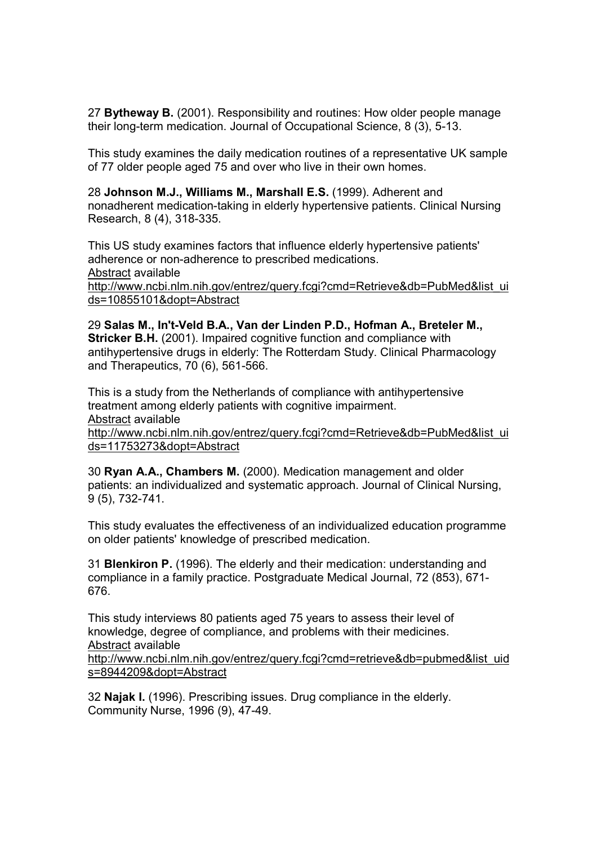27 Bytheway B. (2001). Responsibility and routines: How older people manage their long-term medication. Journal of Occupational Science, 8 (3), 5-13.

This study examines the daily medication routines of a representative UK sample of 77 older people aged 75 and over who live in their own homes.

28 Johnson M.J., Williams M., Marshall E.S. (1999). Adherent and nonadherent medication-taking in elderly hypertensive patients. Clinical Nursing Research, 8 (4), 318-335.

This US study examines factors that influence elderly hypertensive patients' adherence or non-adherence to prescribed medications. Abstract available http://www.ncbi.nlm.nih.gov/entrez/query.fcgi?cmd=Retrieve&db=PubMed&list\_ui ds=10855101&dopt=Abstract

29 Salas M., In't-Veld B.A., Van der Linden P.D., Hofman A., Breteler M., Stricker B.H. (2001). Impaired cognitive function and compliance with antihypertensive drugs in elderly: The Rotterdam Study. Clinical Pharmacology and Therapeutics, 70 (6), 561-566.

This is a study from the Netherlands of compliance with antihypertensive treatment among elderly patients with cognitive impairment. Abstract available

http://www.ncbi.nlm.nih.gov/entrez/query.fcgi?cmd=Retrieve&db=PubMed&list\_ui ds=11753273&dopt=Abstract

30 Ryan A.A., Chambers M. (2000). Medication management and older patients: an individualized and systematic approach. Journal of Clinical Nursing, 9 (5), 732-741.

This study evaluates the effectiveness of an individualized education programme on older patients' knowledge of prescribed medication.

31 Blenkiron P. (1996). The elderly and their medication: understanding and compliance in a family practice. Postgraduate Medical Journal, 72 (853), 671- 676.

This study interviews 80 patients aged 75 years to assess their level of knowledge, degree of compliance, and problems with their medicines. Abstract available http://www.ncbi.nlm.nih.gov/entrez/query.fcgi?cmd=retrieve&db=pubmed&list\_uid

s=8944209&dopt=Abstract

32 Najak I. (1996). Prescribing issues. Drug compliance in the elderly. Community Nurse, 1996 (9), 47-49.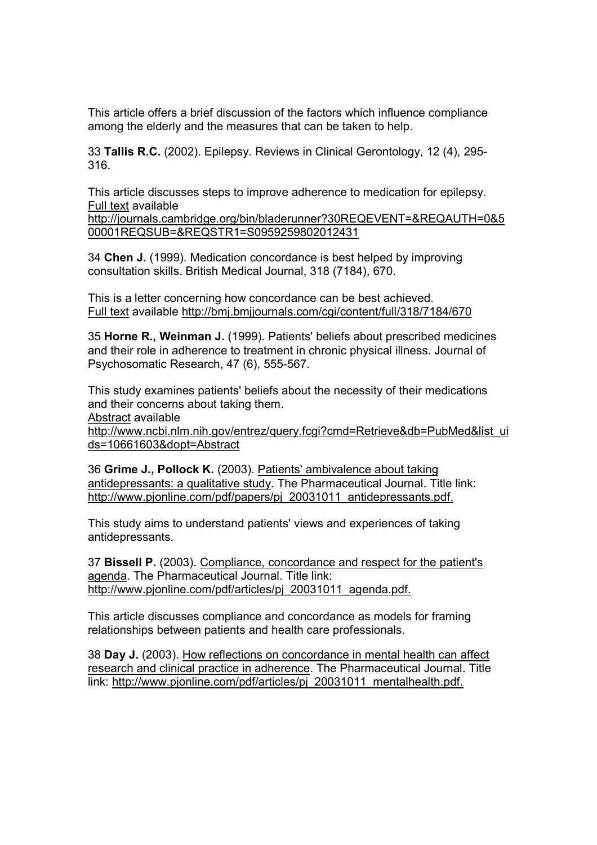This article offers a brief discussion of the factors which influence compliance among the elderly and the measures that can be taken to help.

33 Tallis R.C. (2002). Epilepsy. Reviews in Clinical Gerontology, 12 (4), 295- 316.

This article discusses steps to improve adherence to medication for epilepsy. Full text available

http://journals.cambridge.org/bin/bladerunner?30REQEVENT=&REQAUTH=0&5 00001REQSUB=&REQSTR1=S0959259802012431

34 Chen J. (1999). Medication concordance is best helped by improving consultation skills. British Medical Journal, 318 (7184), 670.

This is a letter concerning how concordance can be best achieved. Full text available http://bmj.bmjjournals.com/cgi/content/full/318/7184/670

35 Horne R., Weinman J. (1999). Patients' beliefs about prescribed medicines and their role in adherence to treatment in chronic physical illness. Journal of Psychosomatic Research, 47 (6), 555-567.

This study examines patients' beliefs about the necessity of their medications and their concerns about taking them.

Abstract available

http://www.ncbi.nlm.nih.gov/entrez/query.fcgi?cmd=Retrieve&db=PubMed&list\_ui ds=10661603&dopt=Abstract

36 Grime J., Pollock K. (2003). Patients' ambivalence about taking antidepressants: a qualitative study. The Pharmaceutical Journal. Title link: http://www.pjonline.com/pdf/papers/pj\_20031011\_antidepressants.pdf.

This study aims to understand patients' views and experiences of taking antidepressants.

37 Bissell P. (2003). Compliance, concordance and respect for the patient's agenda. The Pharmaceutical Journal. Title link: http://www.pjonline.com/pdf/articles/pj\_20031011\_agenda.pdf.

This article discusses compliance and concordance as models for framing relationships between patients and health care professionals.

38 Day J. (2003). How reflections on concordance in mental health can affect research and clinical practice in adherence. The Pharmaceutical Journal. Title link: http://www.pjonline.com/pdf/articles/pj\_20031011\_mentalhealth.pdf.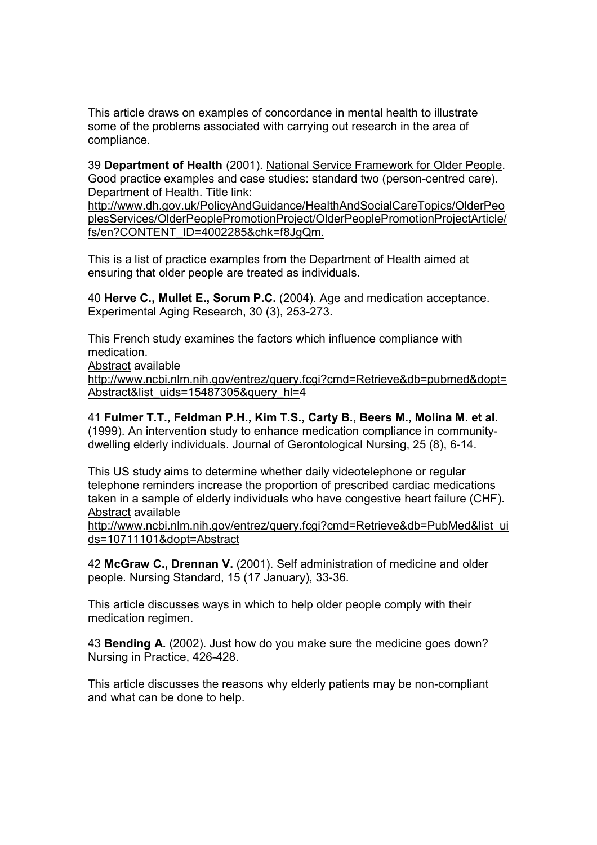This article draws on examples of concordance in mental health to illustrate some of the problems associated with carrying out research in the area of compliance.

39 Department of Health (2001). National Service Framework for Older People. Good practice examples and case studies: standard two (person-centred care). Department of Health. Title link:

http://www.dh.gov.uk/PolicyAndGuidance/HealthAndSocialCareTopics/OlderPeo plesServices/OlderPeoplePromotionProject/OlderPeoplePromotionProjectArticle/ fs/en?CONTENT\_ID=4002285&chk=f8JgQm.

This is a list of practice examples from the Department of Health aimed at ensuring that older people are treated as individuals.

40 Herve C., Mullet E., Sorum P.C. (2004). Age and medication acceptance. Experimental Aging Research, 30 (3), 253-273.

This French study examines the factors which influence compliance with medication.

Abstract available

http://www.ncbi.nlm.nih.gov/entrez/query.fcgi?cmd=Retrieve&db=pubmed&dopt= Abstract&list\_uids=15487305&query\_hl=4

41 Fulmer T.T., Feldman P.H., Kim T.S., Carty B., Beers M., Molina M. et al. (1999). An intervention study to enhance medication compliance in communitydwelling elderly individuals. Journal of Gerontological Nursing, 25 (8), 6-14.

This US study aims to determine whether daily videotelephone or regular telephone reminders increase the proportion of prescribed cardiac medications taken in a sample of elderly individuals who have congestive heart failure (CHF). Abstract available

http://www.ncbi.nlm.nih.gov/entrez/query.fcgi?cmd=Retrieve&db=PubMed&list\_ui ds=10711101&dopt=Abstract

42 McGraw C., Drennan V. (2001). Self administration of medicine and older people. Nursing Standard, 15 (17 January), 33-36.

This article discusses ways in which to help older people comply with their medication regimen.

43 Bending A. (2002). Just how do you make sure the medicine goes down? Nursing in Practice, 426-428.

This article discusses the reasons why elderly patients may be non-compliant and what can be done to help.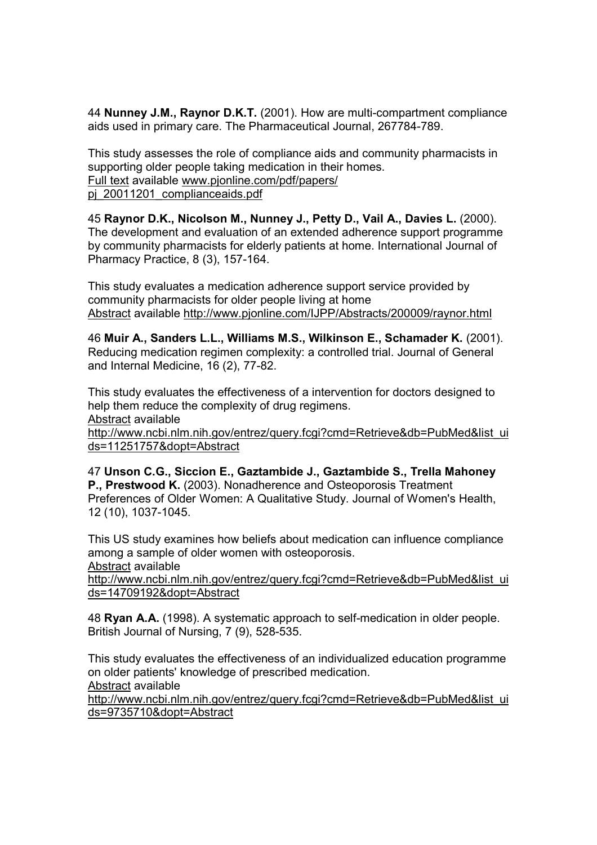44 Nunney J.M., Raynor D.K.T. (2001). How are multi-compartment compliance aids used in primary care. The Pharmaceutical Journal, 267784-789.

This study assesses the role of compliance aids and community pharmacists in supporting older people taking medication in their homes. Full text available www.pjonline.com/pdf/papers/ pj 20011201 complianceaids.pdf

45 Raynor D.K., Nicolson M., Nunney J., Petty D., Vail A., Davies L. (2000). The development and evaluation of an extended adherence support programme by community pharmacists for elderly patients at home. International Journal of Pharmacy Practice, 8 (3), 157-164.

This study evaluates a medication adherence support service provided by community pharmacists for older people living at home Abstract available http://www.pjonline.com/IJPP/Abstracts/200009/raynor.html

46 Muir A., Sanders L.L., Williams M.S., Wilkinson E., Schamader K. (2001). Reducing medication regimen complexity: a controlled trial. Journal of General and Internal Medicine, 16 (2), 77-82.

This study evaluates the effectiveness of a intervention for doctors designed to help them reduce the complexity of drug regimens. Abstract available

http://www.ncbi.nlm.nih.gov/entrez/query.fcgi?cmd=Retrieve&db=PubMed&list\_ui ds=11251757&dopt=Abstract

47 Unson C.G., Siccion E., Gaztambide J., Gaztambide S., Trella Mahoney P., Prestwood K. (2003). Nonadherence and Osteoporosis Treatment Preferences of Older Women: A Qualitative Study. Journal of Women's Health, 12 (10), 1037-1045.

This US study examines how beliefs about medication can influence compliance among a sample of older women with osteoporosis.

Abstract available

http://www.ncbi.nlm.nih.gov/entrez/query.fcgi?cmd=Retrieve&db=PubMed&list\_ui ds=14709192&dopt=Abstract

48 Ryan A.A. (1998). A systematic approach to self-medication in older people. British Journal of Nursing, 7 (9), 528-535.

This study evaluates the effectiveness of an individualized education programme on older patients' knowledge of prescribed medication. Abstract available

http://www.ncbi.nlm.nih.gov/entrez/query.fcgi?cmd=Retrieve&db=PubMed&list\_ui ds=9735710&dopt=Abstract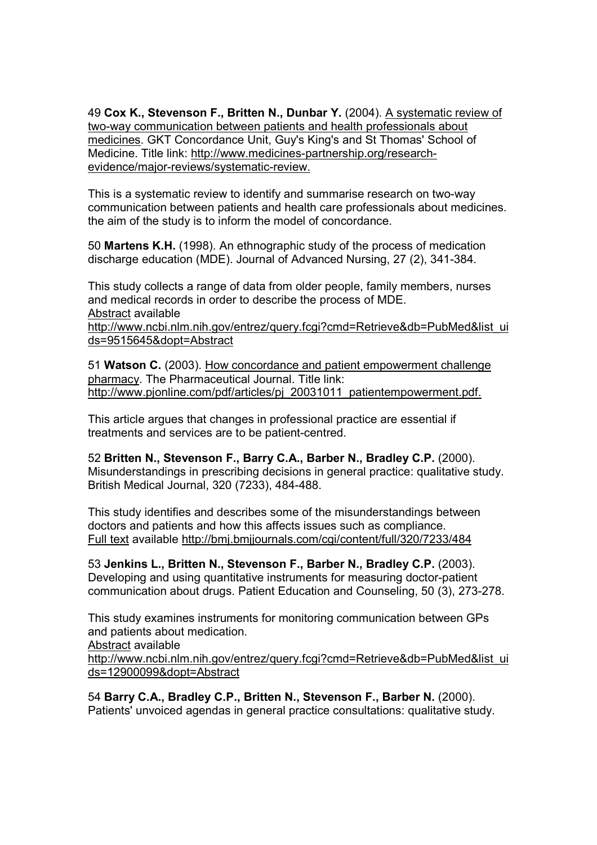49 Cox K., Stevenson F., Britten N., Dunbar Y. (2004). A systematic review of two-way communication between patients and health professionals about medicines. GKT Concordance Unit, Guy's King's and St Thomas' School of Medicine. Title link: http://www.medicines-partnership.org/researchevidence/major-reviews/systematic-review.

This is a systematic review to identify and summarise research on two-way communication between patients and health care professionals about medicines. the aim of the study is to inform the model of concordance.

50 Martens K.H. (1998). An ethnographic study of the process of medication discharge education (MDE). Journal of Advanced Nursing, 27 (2), 341-384.

This study collects a range of data from older people, family members, nurses and medical records in order to describe the process of MDE. Abstract available

http://www.ncbi.nlm.nih.gov/entrez/query.fcgi?cmd=Retrieve&db=PubMed&list\_ui ds=9515645&dopt=Abstract

51 Watson C. (2003). How concordance and patient empowerment challenge pharmacy. The Pharmaceutical Journal. Title link: http://www.pjonline.com/pdf/articles/pj\_20031011\_patientempowerment.pdf.

This article argues that changes in professional practice are essential if treatments and services are to be patient-centred.

52 Britten N., Stevenson F., Barry C.A., Barber N., Bradley C.P. (2000). Misunderstandings in prescribing decisions in general practice: qualitative study. British Medical Journal, 320 (7233), 484-488.

This study identifies and describes some of the misunderstandings between doctors and patients and how this affects issues such as compliance. Full text available http://bmj.bmjjournals.com/cgi/content/full/320/7233/484

53 Jenkins L., Britten N., Stevenson F., Barber N., Bradley C.P. (2003). Developing and using quantitative instruments for measuring doctor-patient communication about drugs. Patient Education and Counseling, 50 (3), 273-278.

This study examines instruments for monitoring communication between GPs and patients about medication. Abstract available http://www.ncbi.nlm.nih.gov/entrez/query.fcgi?cmd=Retrieve&db=PubMed&list\_ui ds=12900099&dopt=Abstract

54 Barry C.A., Bradley C.P., Britten N., Stevenson F., Barber N. (2000). Patients' unvoiced agendas in general practice consultations: qualitative study.